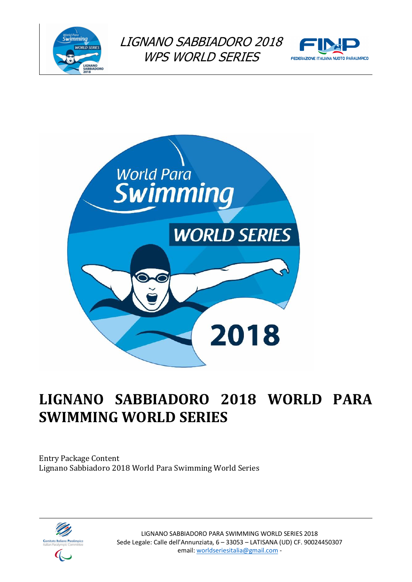





# **LIGNANO SABBIADORO 2018 WORLD PARA SWIMMING WORLD SERIES**

Entry Package Content Lignano Sabbiadoro 2018 World Para Swimming World Series



LIGNANO SABBIADORO PARA SWIMMING WORLD SERIES 2018 Sede Legale: Calle dell'Annunziata, 6 – 33053 – LATISANA (UD) CF. 90024450307 email: worldseriesitalia@gmail.com -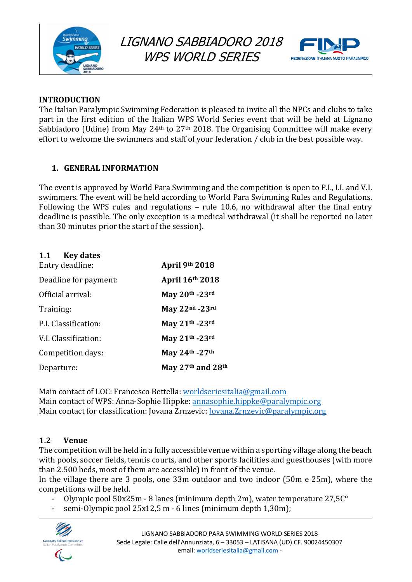



### **INTRODUCTION**

The Italian Paralympic Swimming Federation is pleased to invite all the NPCs and clubs to take part in the first edition of the Italian WPS World Series event that will be held at Lignano Sabbiadoro (Udine) from May 24<sup>th</sup> to 27<sup>th</sup> 2018. The Organising Committee will make every effort to welcome the swimmers and staff of your federation / club in the best possible way.

# **1. GENERAL INFORMATION**

The event is approved by World Para Swimming and the competition is open to P.I., I.I. and V.I. swimmers. The event will be held according to World Para Swimming Rules and Regulations. Following the WPS rules and regulations  $-$  rule 10.6, no withdrawal after the final entry deadline is possible. The only exception is a medical withdrawal (it shall be reported no later than 30 minutes prior the start of the session).

| 1.1<br><b>Key dates</b> |                                           |
|-------------------------|-------------------------------------------|
| Entry deadline:         | April 9th 2018                            |
| Deadline for payment:   | April 16th 2018                           |
| Official arrival:       | May 20th -23rd                            |
| Training:               | May 22nd -23rd                            |
| P.I. Classification:    | May 21th -23rd                            |
| V.I. Classification:    | May 21th -23rd                            |
| Competition days:       | May 24th - 27th                           |
| Departure:              | May 27 <sup>th</sup> and 28 <sup>th</sup> |

Main contact of LOC: Francesco Bettella: worldseriesitalia@gmail.com Main contact of WPS: Anna-Sophie Hippke: annasophie.hippke@paralympic.org Main contact for classification: Jovana Zrnzevic: <u>Jovana.Zrnzevic@paralympic.org</u>

# **1.2 Venue**

The competition will be held in a fully accessible venue within a sporting village along the beach with pools, soccer fields, tennis courts, and other sports facilities and guesthouses (with more than 2.500 beds, most of them are accessible) in front of the venue.

In the village there are 3 pools, one 33m outdoor and two indoor (50m e 25m), where the competitions will be held.

- Olympic pool  $50x25m 8$  lanes (minimum depth 2m), water temperature  $27,5C°$
- semi-Olympic pool 25x12,5 m 6 lines (minimum depth 1,30m);

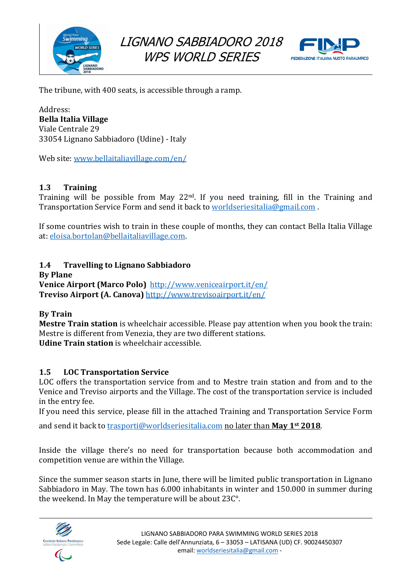



The tribune, with 400 seats, is accessible through a ramp.

Address: **Bella Italia Village** Viale Centrale 29 33054 Lignano Sabbiadoro (Udine) - Italy

Web site: www.bellaitaliavillage.com/en/

### **1.3 Training**

Training will be possible from May  $22<sup>nd</sup>$ . If you need training, fill in the Training and Transportation Service Form and send it back to worldseriesitalia@gmail.com.

If some countries wish to train in these couple of months, they can contact Bella Italia Village at: eloisa.bortolan@bellaitaliavillage.com.

### **1.4 • Travelling to Lignano Sabbiadoro**

**By Plane Venice Airport (Marco Polo)** http://www.veniceairport.it/en/ **Treviso Airport (A. Canova)** http://www.trevisoairport.it/en/

### **By Train**

**Mestre Train station** is wheelchair accessible. Please pay attention when you book the train: Mestre is different from Venezia, they are two different stations. **Udine Train station** is wheelchair accessible.

### **1.5 LOC Transportation Service**

LOC offers the transportation service from and to Mestre train station and from and to the Venice and Treviso airports and the Village. The cost of the transportation service is included in the entry fee.

If you need this service, please fill in the attached Training and Transportation Service Form

and send it back to trasporti@worldseriesitalia.com no later than May 1<sup>st</sup> 2018.

Inside the village there's no need for transportation because both accommodation and competition venue are within the Village.

Since the summer season starts in June, there will be limited public transportation in Lignano Sabbiadoro in May. The town has 6.000 inhabitants in winter and 150.000 in summer during the weekend. In May the temperature will be about  $23C^{\circ}$ .

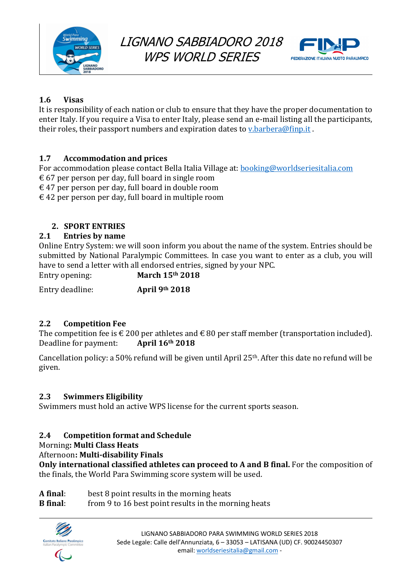



# **1.6 Visas**

It is responsibility of each nation or club to ensure that they have the proper documentation to enter Italy. If you require a Visa to enter Italy, please send an e-mail listing all the participants, their roles, their passport numbers and expiration dates to  $v$ , barbera@finp.it.

# **1.7 Accommodation and prices**

For accommodation please contact Bella Italia Village at: booking@worldseriesitalia.com  $\epsilon$  67 per person per day, full board in single room

 $\epsilon$  47 per person per day, full board in double room

 $\epsilon$  42 per person per day, full board in multiple room

# **2. SPORT ENTRIES**

### **2.1 Entries by name**

Online Entry System: we will soon inform you about the name of the system. Entries should be submitted by National Paralympic Committees. In case you want to enter as a club, you will have to send a letter with all endorsed entries, signed by your NPC.

Entry opening: **March 15<sup>th</sup> 2018** 

Entry deadline: **April 9th 2018** 

# **2.2 Competition Fee**

The competition fee is  $\epsilon$  200 per athletes and  $\epsilon$  80 per staff member (transportation included). Deadline for payment: **April 16th 2018** 

Cancellation policy: a 50% refund will be given until April  $25<sup>th</sup>$ . After this date no refund will be given.

### **2.3 Swimmers Eligibility**

Swimmers must hold an active WPS license for the current sports season.

### **2.4 Competition format and Schedule**

Morning**: Multi Class Heats**

Afternoon**: Multi-disability Finals**

**Only international classified athletes can proceed to A and B final.** For the composition of the finals, the World Para Swimming score system will be used.

- **A** final: best 8 point results in the morning heats
- **B** final: from 9 to 16 best point results in the morning heats

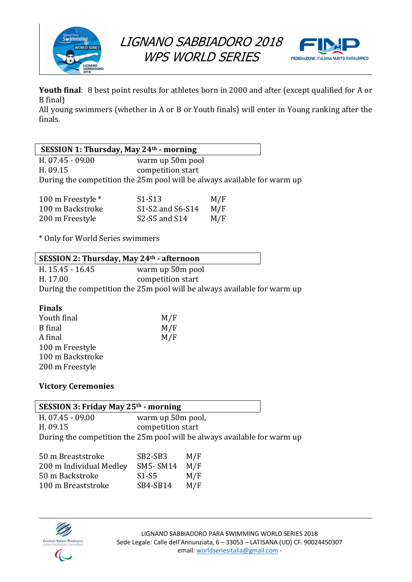



**Youth final:** 8 best point results for athletes born in 2000 and after (except qualified for A or B final)

All young swimmers (whether in A or B or Youth finals) will enter in Young ranking after the finals.

| <b>SESSION 1: Thursday, May 24th - morning</b> |                                                                          |  |
|------------------------------------------------|--------------------------------------------------------------------------|--|
| H. 07.45 - 09.00                               | warm up 50m pool                                                         |  |
| H. 09.15                                       | competition start                                                        |  |
|                                                | During the competition the 25m pool will be always available for warm up |  |

| 100 m Freestyle * | $S1-S13$         | M/F |
|-------------------|------------------|-----|
| 100 m Backstroke  | S1-S2 and S6-S14 | M/F |
| 200 m Freestyle   | S2-S5 and S14    | M/F |

\* Only for World Series swimmers

H. 15.45 - 16.45 warm up 50m pool H. 17.00 competition start During the competition the 25m pool will be always available for warm up

### **Finals**

| M/F |
|-----|
| M/F |
| M/F |
|     |
|     |
|     |
|     |

### **Victory Ceremonies**

| <b>SESSION 3: Friday May 25th - morning</b> |                                                                          |  |
|---------------------------------------------|--------------------------------------------------------------------------|--|
| H. 07.45 - 09.00                            | warm up 50m pool,                                                        |  |
| H. 09.15                                    | competition start                                                        |  |
|                                             | During the competition the 25m pool will be always available for warm up |  |

| SB <sub>2</sub> -SB <sub>3</sub> | M/F |
|----------------------------------|-----|
| <b>SM5-SM14</b>                  | M/F |
| $S1-S5$                          | M/F |
| SB4-SB14                         | M/F |
|                                  |     |

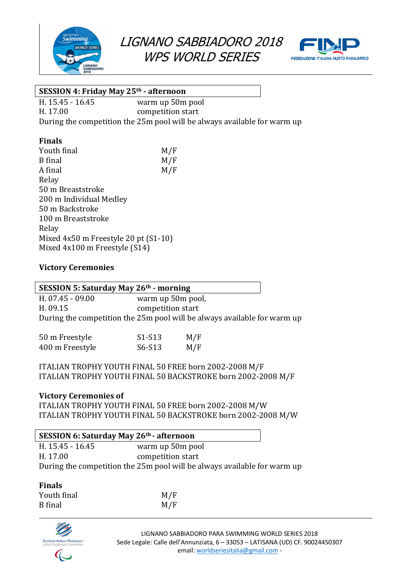



# **SESSION 4: Friday May 25th - afternoon**

H. 15.45 - 16.45 warm up 50m pool H. 17.00 competition start During the competition the 25m pool will be always available for warm up

### **Finals**

 $\overline{\Gamma}$ 

| Youth final                          | M/F |
|--------------------------------------|-----|
| <b>B</b> final                       | M/F |
| A final                              | M/F |
| Relay                                |     |
| 50 m Breaststroke                    |     |
| 200 m Individual Medley              |     |
| 50 m Backstroke                      |     |
| 100 m Breaststroke                   |     |
| Relay                                |     |
| Mixed 4x50 m Freestyle 20 pt (S1-10) |     |
| Mixed 4x100 m Freestyle (S14)        |     |

### **Victory Ceremonies**

| <b>SESSION 5: Saturday May 26th - morning</b> |                                                                          |  |
|-----------------------------------------------|--------------------------------------------------------------------------|--|
| H. 07.45 - 09.00                              | warm up 50m pool,                                                        |  |
| H. 09.15                                      | competition start                                                        |  |
|                                               | During the competition the 25m pool will be always available for warm up |  |

| 50 m Freestyle  | $S1-S13$ | M/F |
|-----------------|----------|-----|
| 400 m Freestyle | $S6-S13$ | M/F |

ITALIAN TROPHY YOUTH FINAL 50 FREE born 2002-2008 M/F ITALIAN TROPHY YOUTH FINAL 50 BACKSTROKE born 2002-2008 M/F

### **Victory Ceremonies of**

ITALIAN TROPHY YOUTH FINAL 50 FREE born 2002-2008 M/W ITALIAN TROPHY YOUTH FINAL 50 BACKSTROKE born 2002-2008 M/W

| SESSION 6: Saturday May 26th - afternoon |                                                                          |  |
|------------------------------------------|--------------------------------------------------------------------------|--|
| H. 15.45 - 16.45                         | warm up 50m pool                                                         |  |
| H. 17.00                                 | competition start                                                        |  |
|                                          | During the competition the 25m pool will be always available for warm up |  |

#### **Finals**

| Youth final    | M/F |
|----------------|-----|
| <b>B</b> final | M/F |

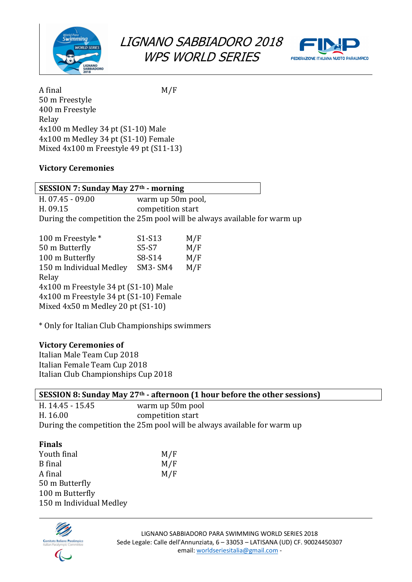



A final M/F 50 m Freestyle 400 m Freestyle Relay 4x100 m Medley 34 pt (S1-10) Male 4x100 m Medley 34 pt (S1-10) Female Mixed 4x100 m Freestyle 49 pt (S11-13)

### **Victory Ceremonies**

| SESSION 7: Sunday May 27 <sup>th</sup> - morning |                                                                          |  |
|--------------------------------------------------|--------------------------------------------------------------------------|--|
| H. 07.45 - 09.00                                 | warm up 50m pool,                                                        |  |
| H. 09.15                                         | competition start                                                        |  |
|                                                  | During the competition the 25m pool will be always available for warm up |  |

| 100 m Freestyle *                      | S1-S13         | M/F |  |  |
|----------------------------------------|----------------|-----|--|--|
| 50 m Butterfly                         | $S5-S7$        | M/F |  |  |
| 100 m Butterfly                        | S8-S14         | M/F |  |  |
| 150 m Individual Medley                | <b>SM3-SM4</b> | M/F |  |  |
| Relay                                  |                |     |  |  |
| 4x100 m Freestyle 34 pt (S1-10) Male   |                |     |  |  |
| 4x100 m Freestyle 34 pt (S1-10) Female |                |     |  |  |
| Mixed 4x50 m Medley 20 pt (S1-10)      |                |     |  |  |
|                                        |                |     |  |  |

\* Only for Italian Club Championships swimmers

# **Victory Ceremonies of**

Italian Male Team Cup 2018 Italian Female Team Cup 2018 Italian Club Championships Cup 2018

| SESSION 8: Sunday May $27th$ - afternoon (1 hour before the other sessions) |                   |  |  |  |
|-----------------------------------------------------------------------------|-------------------|--|--|--|
| H. 14.45 - 15.45                                                            | warm up 50m pool  |  |  |  |
| H. 16.00                                                                    | competition start |  |  |  |
| During the competition the 25m pool will be always available for warm up    |                   |  |  |  |
|                                                                             |                   |  |  |  |
| <b>Finals</b>                                                               |                   |  |  |  |
| Youth final                                                                 | M/F               |  |  |  |
| $R$ final                                                                   | M / F             |  |  |  |

 $M/F$ 

| <b>B</b> final          | M/F |
|-------------------------|-----|
| A final                 | M/F |
| 50 m Butterfly          |     |
| 100 m Butterfly         |     |
| 150 m Individual Medley |     |